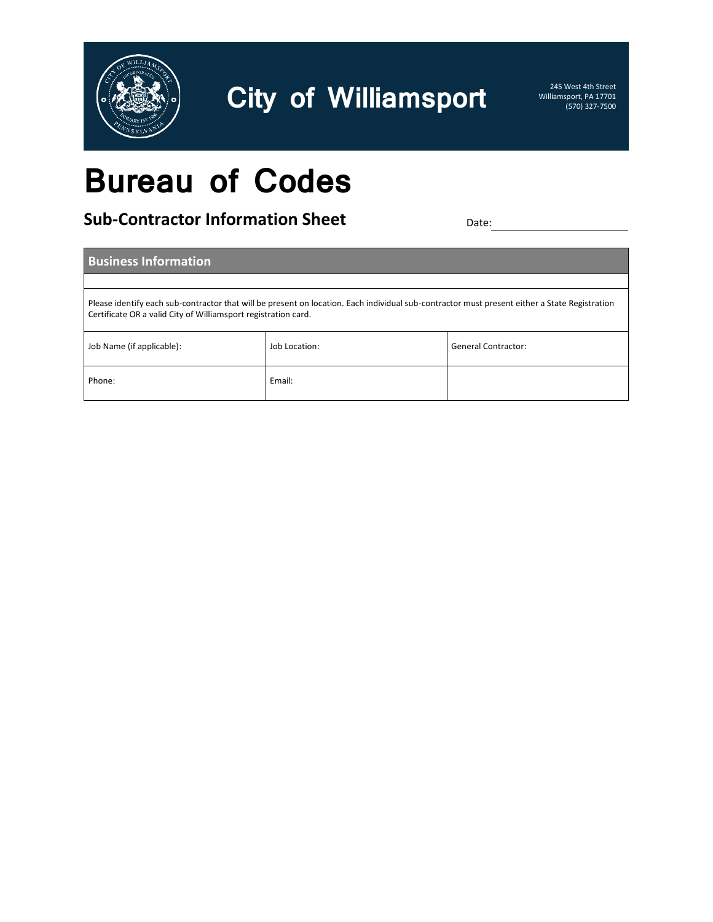

Williamsport, PA 17701 (570) 327-7500

### **Bureau of Codes**

**Sub-Contractor Information Sheet** Date: Date: Date: Date:

|                                                                                                                                                                                                                 | <b>Business Information</b> |               |                     |  |  |
|-----------------------------------------------------------------------------------------------------------------------------------------------------------------------------------------------------------------|-----------------------------|---------------|---------------------|--|--|
|                                                                                                                                                                                                                 |                             |               |                     |  |  |
| Please identify each sub-contractor that will be present on location. Each individual sub-contractor must present either a State Registration<br>Certificate OR a valid City of Williamsport registration card. |                             |               |                     |  |  |
|                                                                                                                                                                                                                 | Job Name (if applicable):   | Job Location: | General Contractor: |  |  |
|                                                                                                                                                                                                                 | Phone:                      | Email:        |                     |  |  |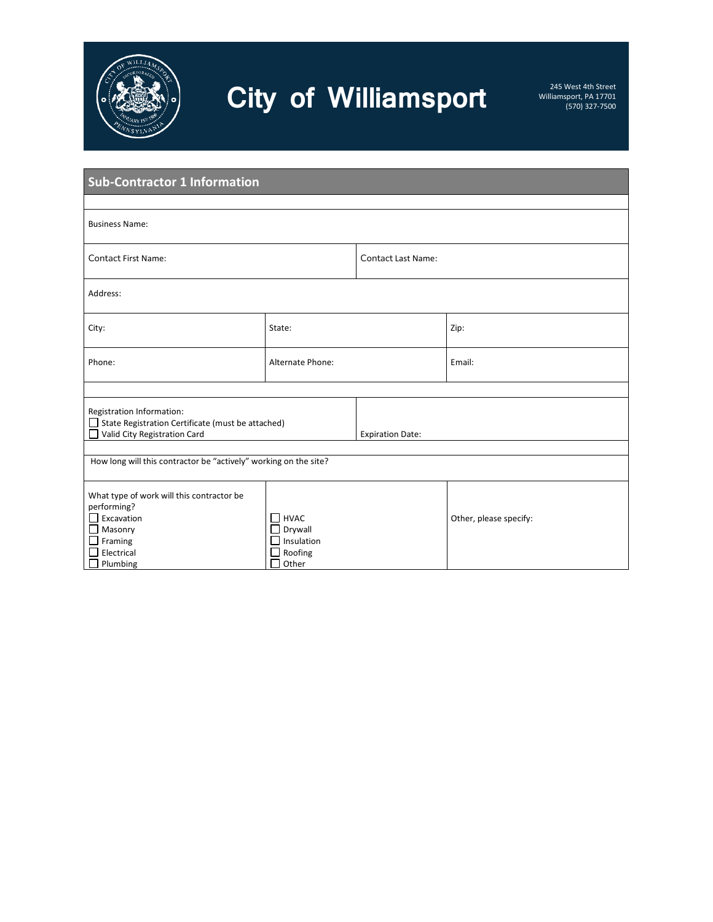

| <b>Sub-Contractor 1 Information</b>                                                                                                                   |                                                                      |                           |                        |  |
|-------------------------------------------------------------------------------------------------------------------------------------------------------|----------------------------------------------------------------------|---------------------------|------------------------|--|
|                                                                                                                                                       |                                                                      |                           |                        |  |
| <b>Business Name:</b>                                                                                                                                 |                                                                      |                           |                        |  |
| <b>Contact First Name:</b>                                                                                                                            |                                                                      | <b>Contact Last Name:</b> |                        |  |
| Address:                                                                                                                                              |                                                                      |                           |                        |  |
| City:                                                                                                                                                 | State:                                                               |                           | Zip:                   |  |
| Phone:                                                                                                                                                | Alternate Phone:                                                     |                           | Email:                 |  |
|                                                                                                                                                       |                                                                      |                           |                        |  |
| Registration Information:<br>□ State Registration Certificate (must be attached)<br>Valid City Registration Card                                      |                                                                      | <b>Expiration Date:</b>   |                        |  |
|                                                                                                                                                       |                                                                      |                           |                        |  |
| How long will this contractor be "actively" working on the site?                                                                                      |                                                                      |                           |                        |  |
| What type of work will this contractor be<br>performing?<br>$\Box$ Excavation<br>$\Box$ Masonry<br>$\Box$ Framing<br>Electrical<br>$\Box$<br>Plumbing | $\Box$ HVAC<br>Drywall<br>$\Box$ Insulation<br>Roofing<br>Other<br>П |                           | Other, please specify: |  |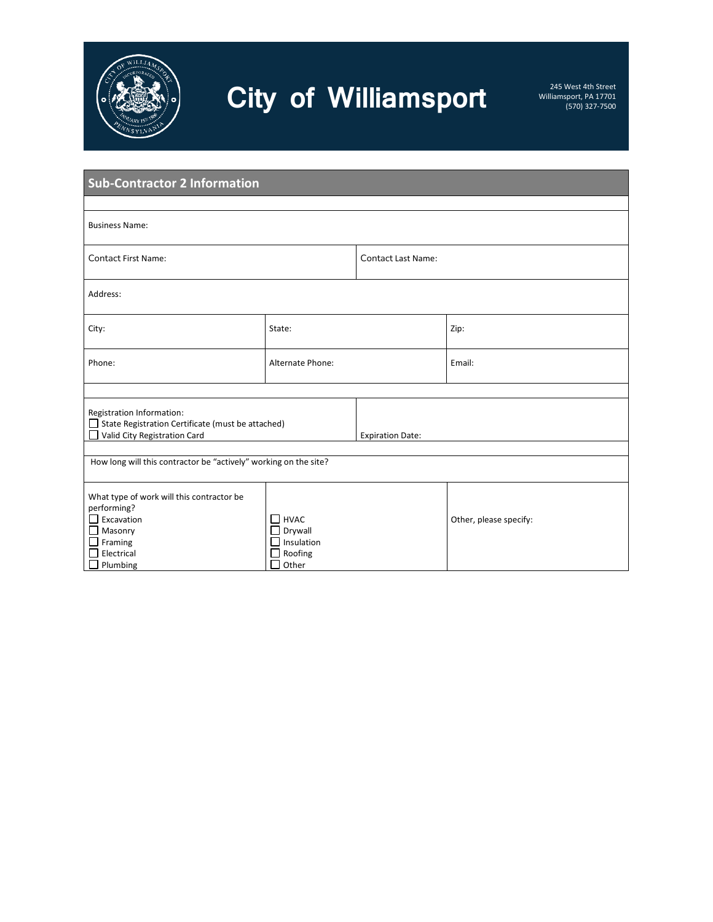

| <b>Sub-Contractor 2 Information</b>                                                                                                              |                                                                           |                           |                        |  |
|--------------------------------------------------------------------------------------------------------------------------------------------------|---------------------------------------------------------------------------|---------------------------|------------------------|--|
| <b>Business Name:</b>                                                                                                                            |                                                                           |                           |                        |  |
| <b>Contact First Name:</b>                                                                                                                       |                                                                           | <b>Contact Last Name:</b> |                        |  |
| Address:                                                                                                                                         |                                                                           |                           |                        |  |
| City:                                                                                                                                            | State:                                                                    |                           | Zip:                   |  |
| Phone:                                                                                                                                           | Alternate Phone:                                                          |                           | Email:                 |  |
| Registration Information:<br>□ State Registration Certificate (must be attached)<br>Valid City Registration Card                                 |                                                                           | <b>Expiration Date:</b>   |                        |  |
| How long will this contractor be "actively" working on the site?                                                                                 |                                                                           |                           |                        |  |
| What type of work will this contractor be<br>performing?<br>$\Box$ Excavation<br>$\Box$ Masonry<br>$\Box$ Framing<br>Electrical<br>П<br>Plumbing | $\Box$ HVAC<br>Drywall<br>$\Box$ Insulation<br>Roofing<br>Other<br>$\Box$ |                           | Other, please specify: |  |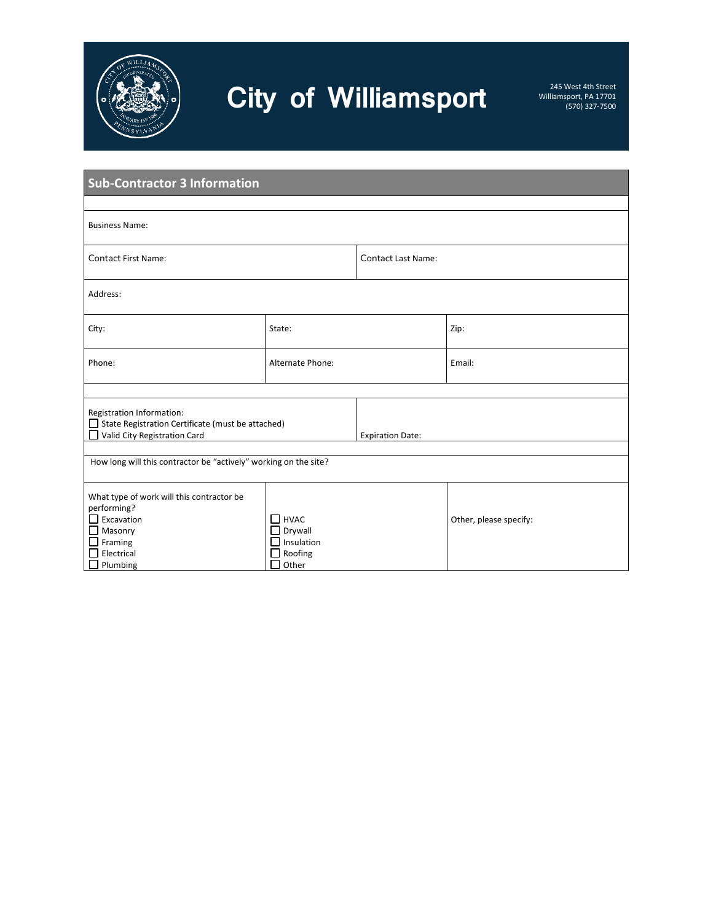

| <b>Sub-Contractor 3 Information</b>                                                                                                                     |                                                                                  |                           |                        |  |
|---------------------------------------------------------------------------------------------------------------------------------------------------------|----------------------------------------------------------------------------------|---------------------------|------------------------|--|
| <b>Business Name:</b>                                                                                                                                   |                                                                                  |                           |                        |  |
| <b>Contact First Name:</b>                                                                                                                              |                                                                                  | <b>Contact Last Name:</b> |                        |  |
| Address:                                                                                                                                                |                                                                                  |                           |                        |  |
| City:                                                                                                                                                   | State:                                                                           |                           | Zip:                   |  |
| Phone:                                                                                                                                                  | Alternate Phone:                                                                 |                           | Email:                 |  |
| Registration Information:<br>□ State Registration Certificate (must be attached)<br>Valid City Registration Card                                        |                                                                                  | <b>Expiration Date:</b>   |                        |  |
| How long will this contractor be "actively" working on the site?                                                                                        |                                                                                  |                           |                        |  |
| What type of work will this contractor be<br>performing?<br>$\Box$ Excavation<br>$\Box$ Masonry<br>$\Box$ Framing<br>Electrical<br>П<br>$\Box$ Plumbing | $\Box$ HVAC<br>$\Box$ Drywall<br>$\Box$ Insulation<br>Roofing<br>Other<br>$\Box$ |                           | Other, please specify: |  |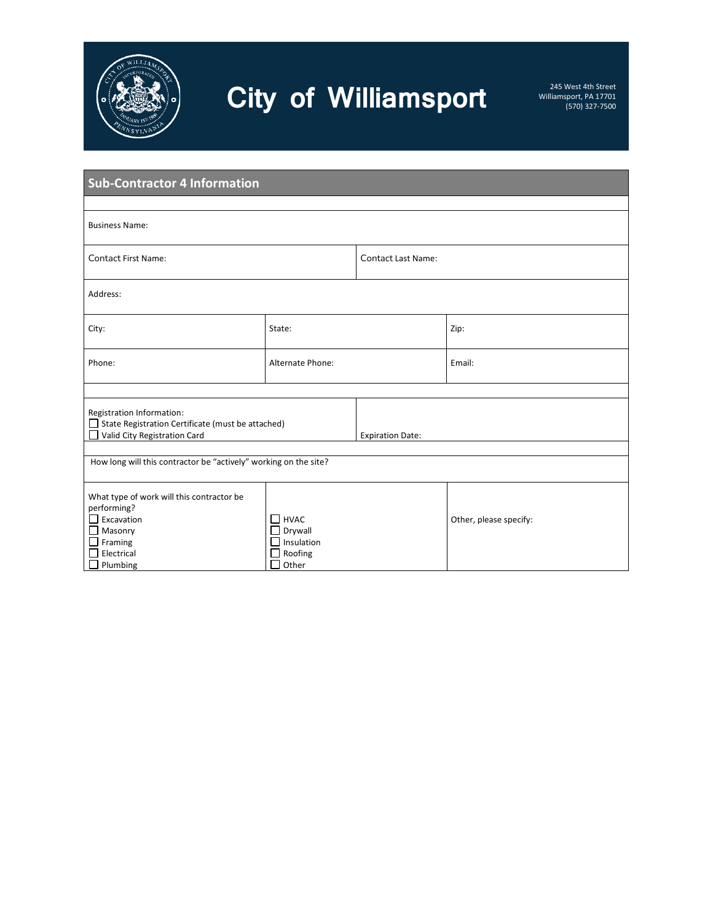

| <b>Sub-Contractor 4 Information</b>                                                                                                                     |                                                                           |                           |                        |  |
|---------------------------------------------------------------------------------------------------------------------------------------------------------|---------------------------------------------------------------------------|---------------------------|------------------------|--|
| <b>Business Name:</b>                                                                                                                                   |                                                                           |                           |                        |  |
| <b>Contact First Name:</b>                                                                                                                              |                                                                           | <b>Contact Last Name:</b> |                        |  |
| Address:                                                                                                                                                |                                                                           |                           |                        |  |
| City:                                                                                                                                                   | State:                                                                    |                           | Zip:                   |  |
| Phone:                                                                                                                                                  | Alternate Phone:                                                          |                           | Email:                 |  |
| Registration Information:<br>□ State Registration Certificate (must be attached)<br>Valid City Registration Card                                        |                                                                           | <b>Expiration Date:</b>   |                        |  |
| How long will this contractor be "actively" working on the site?                                                                                        |                                                                           |                           |                        |  |
| What type of work will this contractor be<br>performing?<br>$\Box$ Excavation<br>$\Box$ Masonry<br>$\Box$ Framing<br>Electrical<br>П<br>$\Box$ Plumbing | $\Box$ HVAC<br>Drywall<br>$\Box$ Insulation<br>Roofing<br>Other<br>$\Box$ |                           | Other, please specify: |  |